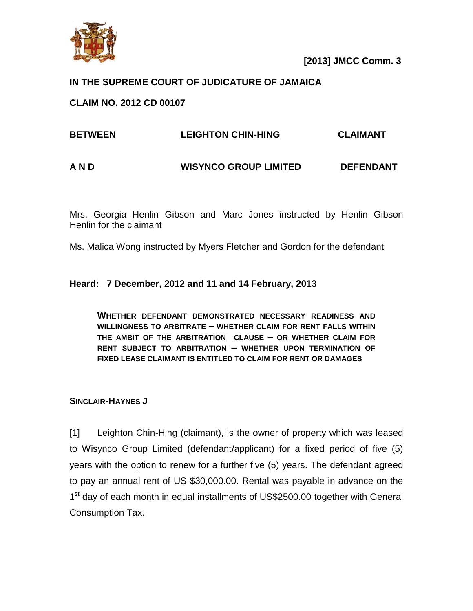

**[2013] JMCC Comm. 3**

## **IN THE SUPREME COURT OF JUDICATURE OF JAMAICA**

### **CLAIM NO. 2012 CD 00107**

| <b>BETWEEN</b> | <b>LEIGHTON CHIN-HING</b>    | <b>CLAIMANT</b>  |
|----------------|------------------------------|------------------|
| A N D          | <b>WISYNCO GROUP LIMITED</b> | <b>DEFENDANT</b> |

Mrs. Georgia Henlin Gibson and Marc Jones instructed by Henlin Gibson Henlin for the claimant

Ms. Malica Wong instructed by Myers Fletcher and Gordon for the defendant

#### **Heard: 7 December, 2012 and 11 and 14 February, 2013**

**WHETHER DEFENDANT DEMONSTRATED NECESSARY READINESS AND WILLINGNESS TO ARBITRATE – WHETHER CLAIM FOR RENT FALLS WITHIN THE AMBIT OF THE ARBITRATION CLAUSE – OR WHETHER CLAIM FOR RENT SUBJECT TO ARBITRATION – WHETHER UPON TERMINATION OF FIXED LEASE CLAIMANT IS ENTITLED TO CLAIM FOR RENT OR DAMAGES**

#### **SINCLAIR-HAYNES J**

[1] Leighton Chin-Hing (claimant), is the owner of property which was leased to Wisynco Group Limited (defendant/applicant) for a fixed period of five (5) years with the option to renew for a further five (5) years. The defendant agreed to pay an annual rent of US \$30,000.00. Rental was payable in advance on the 1<sup>st</sup> day of each month in equal installments of US\$2500.00 together with General Consumption Tax.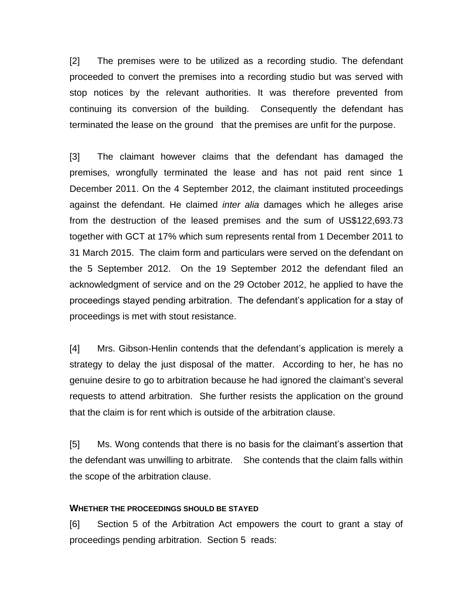[2] The premises were to be utilized as a recording studio. The defendant proceeded to convert the premises into a recording studio but was served with stop notices by the relevant authorities. It was therefore prevented from continuing its conversion of the building. Consequently the defendant has terminated the lease on the ground that the premises are unfit for the purpose.

[3] The claimant however claims that the defendant has damaged the premises, wrongfully terminated the lease and has not paid rent since 1 December 2011. On the 4 September 2012, the claimant instituted proceedings against the defendant. He claimed *inter alia* damages which he alleges arise from the destruction of the leased premises and the sum of US\$122,693.73 together with GCT at 17% which sum represents rental from 1 December 2011 to 31 March 2015. The claim form and particulars were served on the defendant on the 5 September 2012. On the 19 September 2012 the defendant filed an acknowledgment of service and on the 29 October 2012, he applied to have the proceedings stayed pending arbitration. The defendant's application for a stay of proceedings is met with stout resistance.

[4] Mrs. Gibson-Henlin contends that the defendant's application is merely a strategy to delay the just disposal of the matter. According to her, he has no genuine desire to go to arbitration because he had ignored the claimant's several requests to attend arbitration. She further resists the application on the ground that the claim is for rent which is outside of the arbitration clause.

[5] Ms. Wong contends that there is no basis for the claimant's assertion that the defendant was unwilling to arbitrate. She contends that the claim falls within the scope of the arbitration clause.

#### **WHETHER THE PROCEEDINGS SHOULD BE STAYED**

[6] Section 5 of the Arbitration Act empowers the court to grant a stay of proceedings pending arbitration. Section 5 reads: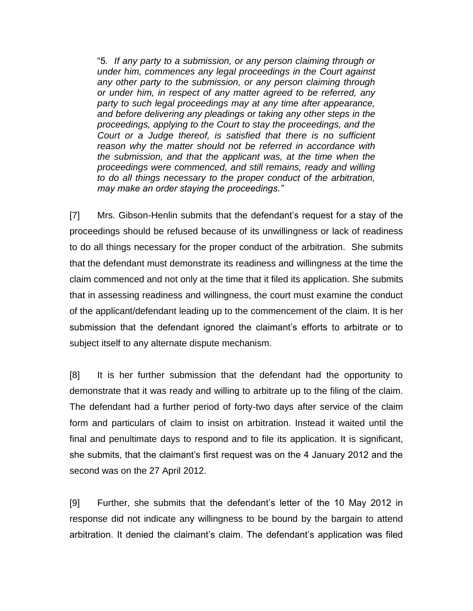"5*. If any party to a submission, or any person claiming through or under him, commences any legal proceedings in the Court against any other party to the submission, or any person claiming through or under him, in respect of any matter agreed to be referred, any party to such legal proceedings may at any time after appearance, and before delivering any pleadings or taking any other steps in the proceedings, applying to the Court to stay the proceedings, and the Court or a Judge thereof, is satisfied that there is no sufficient reason why the matter should not be referred in accordance with the submission, and that the applicant was, at the time when the proceedings were commenced, and still remains, ready and willing to do all things necessary to the proper conduct of the arbitration, may make an order staying the proceedings."*

[7] Mrs. Gibson-Henlin submits that the defendant's request for a stay of the proceedings should be refused because of its unwillingness or lack of readiness to do all things necessary for the proper conduct of the arbitration. She submits that the defendant must demonstrate its readiness and willingness at the time the claim commenced and not only at the time that it filed its application. She submits that in assessing readiness and willingness, the court must examine the conduct of the applicant/defendant leading up to the commencement of the claim. It is her submission that the defendant ignored the claimant's efforts to arbitrate or to subject itself to any alternate dispute mechanism.

[8] It is her further submission that the defendant had the opportunity to demonstrate that it was ready and willing to arbitrate up to the filing of the claim. The defendant had a further period of forty-two days after service of the claim form and particulars of claim to insist on arbitration. Instead it waited until the final and penultimate days to respond and to file its application. It is significant, she submits, that the claimant's first request was on the 4 January 2012 and the second was on the 27 April 2012.

[9] Further, she submits that the defendant's letter of the 10 May 2012 in response did not indicate any willingness to be bound by the bargain to attend arbitration. It denied the claimant's claim. The defendant's application was filed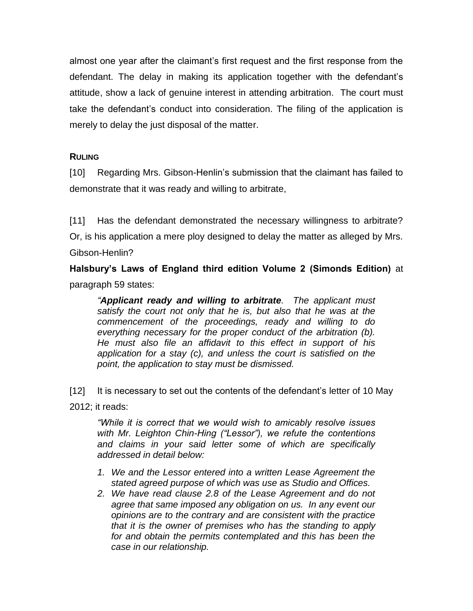almost one year after the claimant's first request and the first response from the defendant. The delay in making its application together with the defendant's attitude, show a lack of genuine interest in attending arbitration. The court must take the defendant's conduct into consideration. The filing of the application is merely to delay the just disposal of the matter.

## **RULING**

[10] Regarding Mrs. Gibson-Henlin's submission that the claimant has failed to demonstrate that it was ready and willing to arbitrate,

[11] Has the defendant demonstrated the necessary willingness to arbitrate? Or, is his application a mere ploy designed to delay the matter as alleged by Mrs. Gibson-Henlin?

**Halsbury's Laws of England third edition Volume 2 (Simonds Edition)** at paragraph 59 states:

*"Applicant ready and willing to arbitrate. The applicant must satisfy the court not only that he is, but also that he was at the commencement of the proceedings, ready and willing to do everything necessary for the proper conduct of the arbitration (b). He must also file an affidavit to this effect in support of his application for a stay (c), and unless the court is satisfied on the point, the application to stay must be dismissed.* 

[12] It is necessary to set out the contents of the defendant's letter of 10 May 2012; it reads:

*"While it is correct that we would wish to amicably resolve issues with Mr. Leighton Chin-Hing ("Lessor"), we refute the contentions and claims in your said letter some of which are specifically addressed in detail below:*

- *1. We and the Lessor entered into a written Lease Agreement the stated agreed purpose of which was use as Studio and Offices.*
- *2. We have read clause 2.8 of the Lease Agreement and do not agree that same imposed any obligation on us. In any event our opinions are to the contrary and are consistent with the practice that it is the owner of premises who has the standing to apply for and obtain the permits contemplated and this has been the case in our relationship.*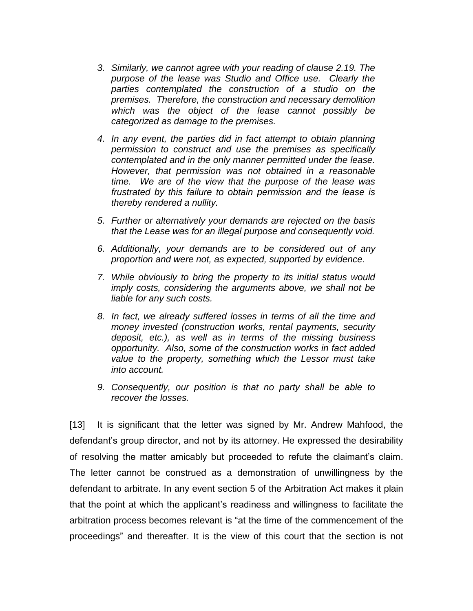- *3. Similarly, we cannot agree with your reading of clause 2.19. The purpose of the lease was Studio and Office use. Clearly the parties contemplated the construction of a studio on the premises. Therefore, the construction and necessary demolition which was the object of the lease cannot possibly be categorized as damage to the premises.*
- *4. In any event, the parties did in fact attempt to obtain planning permission to construct and use the premises as specifically contemplated and in the only manner permitted under the lease. However, that permission was not obtained in a reasonable time. We are of the view that the purpose of the lease was frustrated by this failure to obtain permission and the lease is thereby rendered a nullity.*
- *5. Further or alternatively your demands are rejected on the basis that the Lease was for an illegal purpose and consequently void.*
- *6. Additionally, your demands are to be considered out of any proportion and were not, as expected, supported by evidence.*
- *7. While obviously to bring the property to its initial status would imply costs, considering the arguments above, we shall not be liable for any such costs.*
- *8. In fact, we already suffered losses in terms of all the time and money invested (construction works, rental payments, security deposit, etc.), as well as in terms of the missing business opportunity. Also, some of the construction works in fact added value to the property, something which the Lessor must take into account.*
- *9. Consequently, our position is that no party shall be able to recover the losses.*

[13] It is significant that the letter was signed by Mr. Andrew Mahfood, the defendant's group director, and not by its attorney. He expressed the desirability of resolving the matter amicably but proceeded to refute the claimant's claim. The letter cannot be construed as a demonstration of unwillingness by the defendant to arbitrate. In any event section 5 of the Arbitration Act makes it plain that the point at which the applicant's readiness and willingness to facilitate the arbitration process becomes relevant is "at the time of the commencement of the proceedings" and thereafter. It is the view of this court that the section is not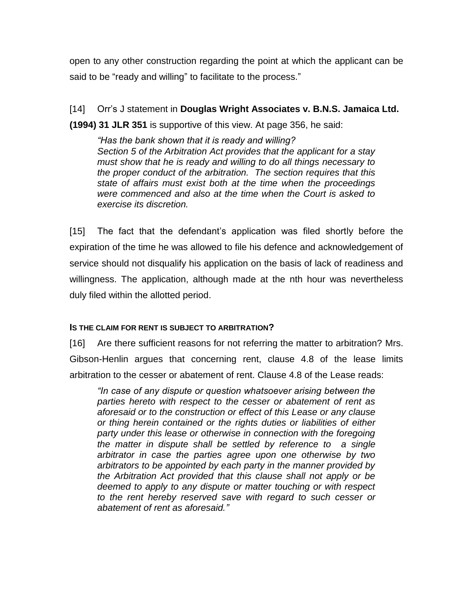open to any other construction regarding the point at which the applicant can be said to be "ready and willing" to facilitate to the process."

[14] Orr's J statement in **Douglas Wright Associates v. B.N.S. Jamaica Ltd.** 

**(1994) 31 JLR 351** is supportive of this view. At page 356, he said:

*"Has the bank shown that it is ready and willing? Section 5 of the Arbitration Act provides that the applicant for a stay must show that he is ready and willing to do all things necessary to the proper conduct of the arbitration. The section requires that this state of affairs must exist both at the time when the proceedings were commenced and also at the time when the Court is asked to exercise its discretion.*

[15] The fact that the defendant's application was filed shortly before the expiration of the time he was allowed to file his defence and acknowledgement of service should not disqualify his application on the basis of lack of readiness and willingness. The application, although made at the nth hour was nevertheless duly filed within the allotted period.

#### **IS THE CLAIM FOR RENT IS SUBJECT TO ARBITRATION?**

[16] Are there sufficient reasons for not referring the matter to arbitration? Mrs. Gibson-Henlin argues that concerning rent, clause 4.8 of the lease limits arbitration to the cesser or abatement of rent. Clause 4.8 of the Lease reads:

*"In case of any dispute or question whatsoever arising between the parties hereto with respect to the cesser or abatement of rent as aforesaid or to the construction or effect of this Lease or any clause or thing herein contained or the rights duties or liabilities of either party under this lease or otherwise in connection with the foregoing the matter in dispute shall be settled by reference to a single arbitrator in case the parties agree upon one otherwise by two arbitrators to be appointed by each party in the manner provided by the Arbitration Act provided that this clause shall not apply or be deemed to apply to any dispute or matter touching or with respect to the rent hereby reserved save with regard to such cesser or abatement of rent as aforesaid."*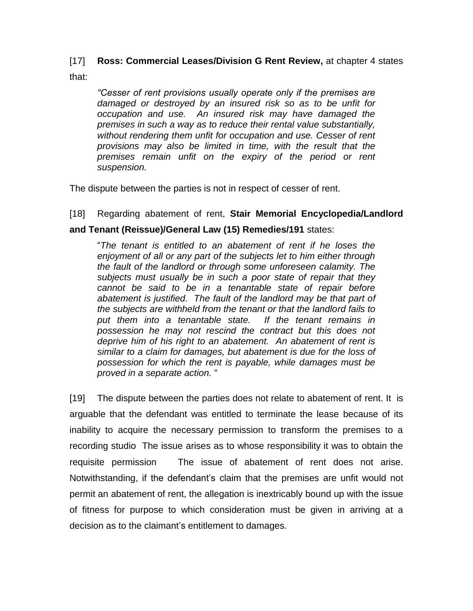# [17] **Ross: Commercial Leases/Division G Rent Review,** at chapter 4 states that:

*"Cesser of rent provisions usually operate only if the premises are damaged or destroyed by an insured risk so as to be unfit for occupation and use. An insured risk may have damaged the premises in such a way as to reduce their rental value substantially, without rendering them unfit for occupation and use. Cesser of rent provisions may also be limited in time, with the result that the premises remain unfit on the expiry of the period or rent suspension.* 

The dispute between the parties is not in respect of cesser of rent.

# [18] Regarding abatement of rent, **Stair Memorial Encyclopedia/Landlord**

#### **and Tenant (Reissue)/General Law (15) Remedies/191** states:

"*The tenant is entitled to an abatement of rent if he loses the enjoyment of all or any part of the subjects let to him either through the fault of the landlord or through some unforeseen calamity. The subjects must usually be in such a poor state of repair that they cannot be said to be in a tenantable state of repair before abatement is justified. The fault of the landlord may be that part of the subjects are withheld from the tenant or that the landlord fails to put them into a tenantable state. If the tenant remains in possession he may not rescind the contract but this does not deprive him of his right to an abatement. An abatement of rent is similar to a claim for damages, but abatement is due for the loss of possession for which the rent is payable, while damages must be proved in a separate action.* "

[19] The dispute between the parties does not relate to abatement of rent. It is arguable that the defendant was entitled to terminate the lease because of its inability to acquire the necessary permission to transform the premises to a recording studio The issue arises as to whose responsibility it was to obtain the requisite permission The issue of abatement of rent does not arise. Notwithstanding, if the defendant's claim that the premises are unfit would not permit an abatement of rent, the allegation is inextricably bound up with the issue of fitness for purpose to which consideration must be given in arriving at a decision as to the claimant's entitlement to damages.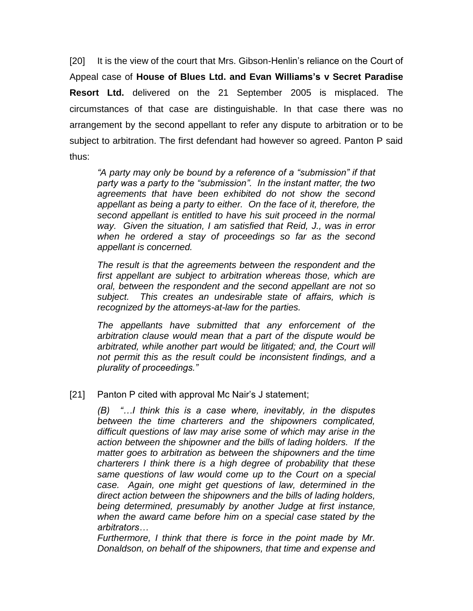[20] It is the view of the court that Mrs. Gibson-Henlin's reliance on the Court of Appeal case of **House of Blues Ltd. and Evan Williams's v Secret Paradise Resort Ltd.** delivered on the 21 September 2005 is misplaced. The circumstances of that case are distinguishable. In that case there was no arrangement by the second appellant to refer any dispute to arbitration or to be subject to arbitration. The first defendant had however so agreed. Panton P said thus:

*"A party may only be bound by a reference of a "submission" if that party was a party to the "submission". In the instant matter, the two agreements that have been exhibited do not show the second appellant as being a party to either. On the face of it, therefore, the second appellant is entitled to have his suit proceed in the normal way. Given the situation, I am satisfied that Reid, J., was in error when he ordered a stay of proceedings so far as the second appellant is concerned.*

*The result is that the agreements between the respondent and the first appellant are subject to arbitration whereas those, which are oral, between the respondent and the second appellant are not so subject. This creates an undesirable state of affairs, which is recognized by the attorneys-at-law for the parties.*

*The appellants have submitted that any enforcement of the arbitration clause would mean that a part of the dispute would be arbitrated, while another part would be litigated; and, the Court will not permit this as the result could be inconsistent findings, and a plurality of proceedings."*

#### [21] Panton P cited with approval Mc Nair's J statement;

*(B) "…I think this is a case where, inevitably, in the disputes between the time charterers and the shipowners complicated, difficult questions of law may arise some of which may arise in the action between the shipowner and the bills of lading holders. If the matter goes to arbitration as between the shipowners and the time charterers I think there is a high degree of probability that these same questions of law would come up to the Court on a special case. Again, one might get questions of law, determined in the direct action between the shipowners and the bills of lading holders, being determined, presumably by another Judge at first instance, when the award came before him on a special case stated by the arbitrators…*

*Furthermore, I think that there is force in the point made by Mr. Donaldson, on behalf of the shipowners, that time and expense and*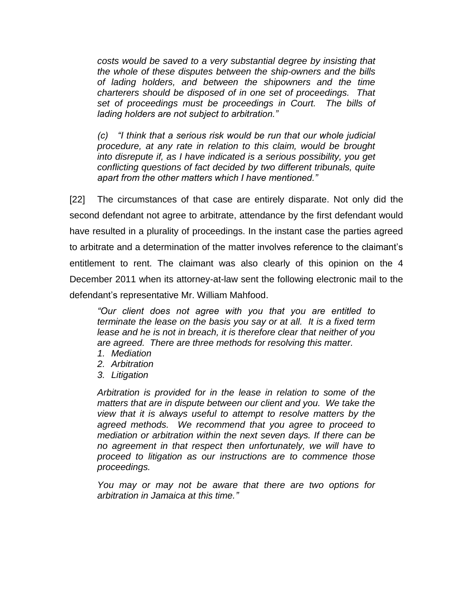*costs would be saved to a very substantial degree by insisting that the whole of these disputes between the ship-owners and the bills of lading holders, and between the shipowners and the time charterers should be disposed of in one set of proceedings. That set of proceedings must be proceedings in Court. The bills of lading holders are not subject to arbitration."*

*(c) "I think that a serious risk would be run that our whole judicial procedure, at any rate in relation to this claim, would be brought into disrepute if, as I have indicated is a serious possibility, you get conflicting questions of fact decided by two different tribunals, quite apart from the other matters which I have mentioned."*

[22] The circumstances of that case are entirely disparate. Not only did the second defendant not agree to arbitrate, attendance by the first defendant would have resulted in a plurality of proceedings. In the instant case the parties agreed to arbitrate and a determination of the matter involves reference to the claimant's entitlement to rent. The claimant was also clearly of this opinion on the 4 December 2011 when its attorney-at-law sent the following electronic mail to the defendant's representative Mr. William Mahfood.

*"Our client does not agree with you that you are entitled to terminate the lease on the basis you say or at all. It is a fixed term lease and he is not in breach, it is therefore clear that neither of you are agreed. There are three methods for resolving this matter.*

- *1. Mediation*
- *2. Arbitration*
- *3. Litigation*

*Arbitration is provided for in the lease in relation to some of the matters that are in dispute between our client and you. We take the view that it is always useful to attempt to resolve matters by the agreed methods. We recommend that you agree to proceed to mediation or arbitration within the next seven days. If there can be no agreement in that respect then unfortunately, we will have to proceed to litigation as our instructions are to commence those proceedings.*

*You may or may not be aware that there are two options for arbitration in Jamaica at this time."*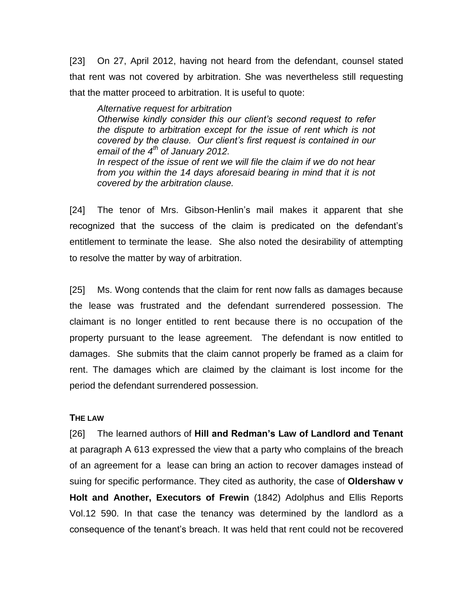[23] On 27, April 2012, having not heard from the defendant, counsel stated that rent was not covered by arbitration. She was nevertheless still requesting that the matter proceed to arbitration. It is useful to quote:

*Alternative request for arbitration Otherwise kindly consider this our client's second request to refer the dispute to arbitration except for the issue of rent which is not covered by the clause. Our client's first request is contained in our email of the 4th of January 2012. In respect of the issue of rent we will file the claim if we do not hear from you within the 14 days aforesaid bearing in mind that it is not covered by the arbitration clause.* 

[24] The tenor of Mrs. Gibson-Henlin's mail makes it apparent that she recognized that the success of the claim is predicated on the defendant's entitlement to terminate the lease. She also noted the desirability of attempting to resolve the matter by way of arbitration.

[25] Ms. Wong contends that the claim for rent now falls as damages because the lease was frustrated and the defendant surrendered possession. The claimant is no longer entitled to rent because there is no occupation of the property pursuant to the lease agreement. The defendant is now entitled to damages. She submits that the claim cannot properly be framed as a claim for rent. The damages which are claimed by the claimant is lost income for the period the defendant surrendered possession.

#### **THE LAW**

[26] The learned authors of **Hill and Redman's Law of Landlord and Tenant**  at paragraph A 613 expressed the view that a party who complains of the breach of an agreement for a lease can bring an action to recover damages instead of suing for specific performance. They cited as authority, the case of **Oldershaw v Holt and Another, Executors of Frewin** (1842) Adolphus and Ellis Reports Vol.12 590. In that case the tenancy was determined by the landlord as a consequence of the tenant's breach. It was held that rent could not be recovered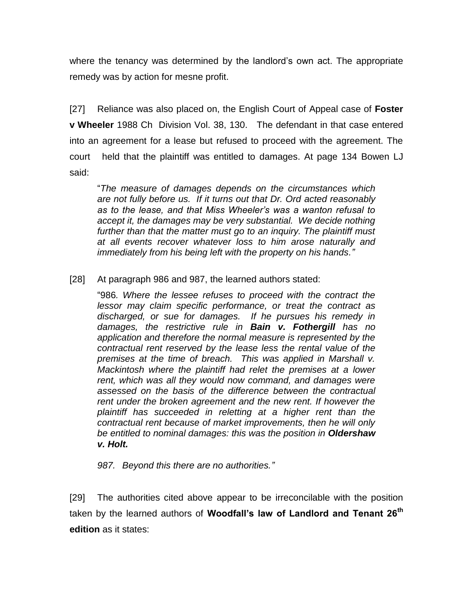where the tenancy was determined by the landlord's own act. The appropriate remedy was by action for mesne profit.

[27] Reliance was also placed on, the English Court of Appeal case of **Foster v Wheeler** 1988 Ch Division Vol. 38, 130. The defendant in that case entered into an agreement for a lease but refused to proceed with the agreement. The court held that the plaintiff was entitled to damages. At page 134 Bowen LJ said:

"*The measure of damages depends on the circumstances which are not fully before us. If it turns out that Dr. Ord acted reasonably as to the lease, and that Miss Wheeler's was a wanton refusal to accept it, the damages may be very substantial. We decide nothing further than that the matter must go to an inquiry. The plaintiff must at all events recover whatever loss to him arose naturally and immediately from his being left with the property on his hands."*

[28] At paragraph 986 and 987, the learned authors stated:

"986*. Where the lessee refuses to proceed with the contract the lessor may claim specific performance, or treat the contract as discharged, or sue for damages. If he pursues his remedy in damages, the restrictive rule in Bain v. Fothergill has no application and therefore the normal measure is represented by the contractual rent reserved by the lease less the rental value of the premises at the time of breach. This was applied in Marshall v. Mackintosh where the plaintiff had relet the premises at a lower rent, which was all they would now command, and damages were assessed on the basis of the difference between the contractual rent under the broken agreement and the new rent. If however the plaintiff has succeeded in reletting at a higher rent than the contractual rent because of market improvements, then he will only be entitled to nominal damages: this was the position in Oldershaw v. Holt.*

*987. Beyond this there are no authorities."*

[29] The authorities cited above appear to be irreconcilable with the position taken by the learned authors of **Woodfall's law of Landlord and Tenant 26th edition** as it states: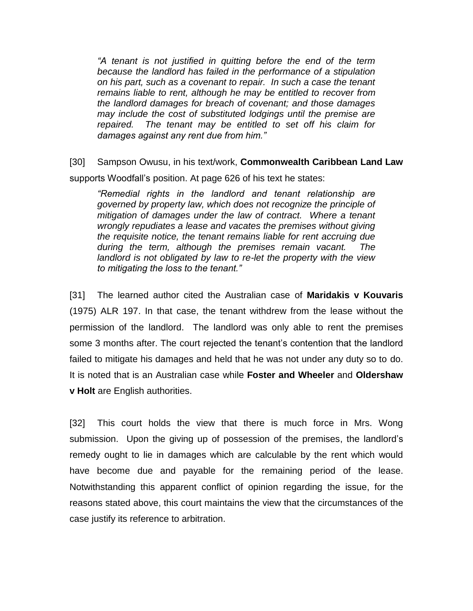*"A tenant is not justified in quitting before the end of the term because the landlord has failed in the performance of a stipulation on his part, such as a covenant to repair. In such a case the tenant remains liable to rent, although he may be entitled to recover from the landlord damages for breach of covenant; and those damages may include the cost of substituted lodgings until the premise are repaired. The tenant may be entitled to set off his claim for damages against any rent due from him."*

[30] Sampson Owusu, in his text/work, **Commonwealth Caribbean Land Law**  supports Woodfall's position. At page 626 of his text he states:

*"Remedial rights in the landlord and tenant relationship are governed by property law, which does not recognize the principle of mitigation of damages under the law of contract. Where a tenant wrongly repudiates a lease and vacates the premises without giving the requisite notice, the tenant remains liable for rent accruing due during the term, although the premises remain vacant. The landlord is not obligated by law to re-let the property with the view to mitigating the loss to the tenant."*

[31] The learned author cited the Australian case of **Maridakis v Kouvaris** (1975) ALR 197. In that case, the tenant withdrew from the lease without the permission of the landlord. The landlord was only able to rent the premises some 3 months after. The court rejected the tenant's contention that the landlord failed to mitigate his damages and held that he was not under any duty so to do. It is noted that is an Australian case while **Foster and Wheeler** and **Oldershaw v Holt** are English authorities.

[32] This court holds the view that there is much force in Mrs. Wong submission. Upon the giving up of possession of the premises, the landlord's remedy ought to lie in damages which are calculable by the rent which would have become due and payable for the remaining period of the lease. Notwithstanding this apparent conflict of opinion regarding the issue, for the reasons stated above, this court maintains the view that the circumstances of the case justify its reference to arbitration.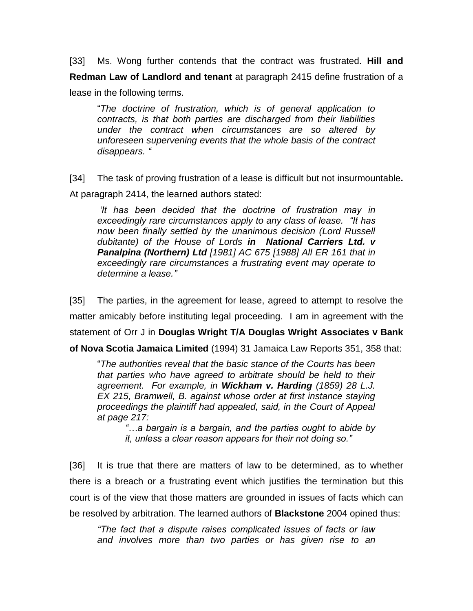[33] Ms. Wong further contends that the contract was frustrated. **Hill and Redman Law of Landlord and tenant** at paragraph 2415 define frustration of a lease in the following terms.

"*The doctrine of frustration, which is of general application to contracts, is that both parties are discharged from their liabilities under the contract when circumstances are so altered by unforeseen supervening events that the whole basis of the contract disappears. "*

[34] The task of proving frustration of a lease is difficult but not insurmountable**.** 

At paragraph 2414, the learned authors stated:

*'It has been decided that the doctrine of frustration may in exceedingly rare circumstances apply to any class of lease. "It has now been finally settled by the unanimous decision (Lord Russell dubitante) of the House of Lords in National Carriers Ltd. v Panalpina (Northern) Ltd [1981] AC 675 [1988] All ER 161 that in exceedingly rare circumstances a frustrating event may operate to determine a lease."*

[35] The parties, in the agreement for lease, agreed to attempt to resolve the matter amicably before instituting legal proceeding. I am in agreement with the statement of Orr J in **Douglas Wright T/A Douglas Wright Associates v Bank of Nova Scotia Jamaica Limited** (1994) 31 Jamaica Law Reports 351, 358 that:

"*The authorities reveal that the basic stance of the Courts has been that parties who have agreed to arbitrate should be held to their agreement. For example, in Wickham v. Harding (1859) 28 L.J. EX 215, Bramwell, B. against whose order at first instance staying proceedings the plaintiff had appealed, said, in the Court of Appeal at page 217:*

*"…a bargain is a bargain, and the parties ought to abide by it, unless a clear reason appears for their not doing so."*

[36] It is true that there are matters of law to be determined, as to whether there is a breach or a frustrating event which justifies the termination but this court is of the view that those matters are grounded in issues of facts which can be resolved by arbitration. The learned authors of **Blackstone** 2004 opined thus:

*"The fact that a dispute raises complicated issues of facts or law and involves more than two parties or has given rise to an*